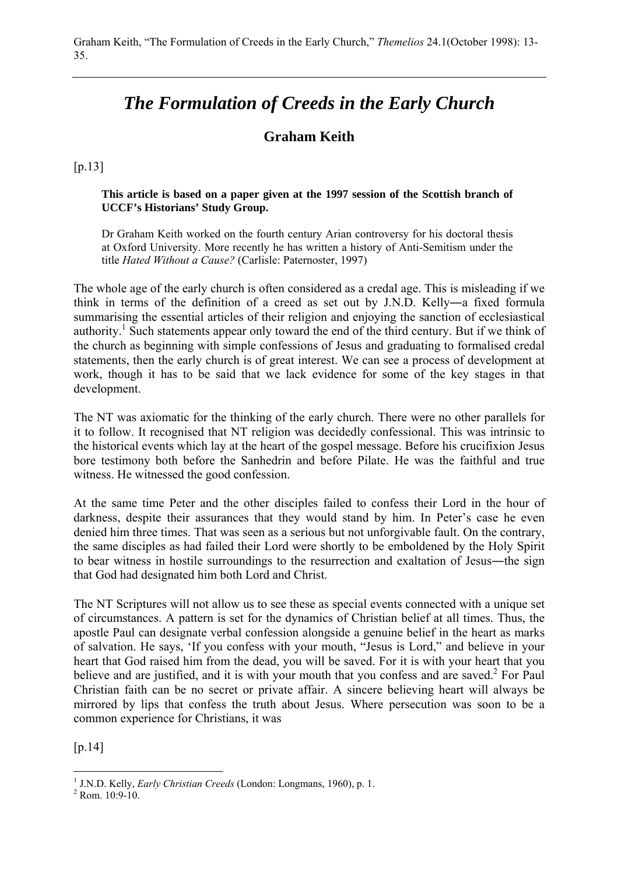# *The Formulation of Creeds in the Early Church*

# **Graham Keith**

[p.13]

**This article is based on a paper given at the 1997 session of the Scottish branch of UCCF's Historians' Study Group.**

Dr Graham Keith worked on the fourth century Arian controversy for his doctoral thesis at Oxford University. More recently he has written a history of Anti-Semitism under the title *Hated Without a Cause?* (Carlisle: Paternoster, 1997)

The whole age of the early church is often considered as a credal age. This is misleading if we think in terms of the definition of a creed as set out by J.N.D. Kelly―a fixed formula summarising the essential articles of their religion and enjoying the sanction of ecclesiastical authority.<sup>1</sup> Such statements appear only toward the end of the third century. But if we think of the church as beginning with simple confessions of Jesus and graduating to formalised credal statements, then the early church is of great interest. We can see a process of development at work, though it has to be said that we lack evidence for some of the key stages in that development.

The NT was axiomatic for the thinking of the early church. There were no other parallels for it to follow. It recognised that NT religion was decidedly confessional. This was intrinsic to the historical events which lay at the heart of the gospel message. Before his crucifixion Jesus bore testimony both before the Sanhedrin and before Pilate. He was the faithful and true witness. He witnessed the good confession.

At the same time Peter and the other disciples failed to confess their Lord in the hour of darkness, despite their assurances that they would stand by him. In Peter's case he even denied him three times. That was seen as a serious but not unforgivable fault. On the contrary, the same disciples as had failed their Lord were shortly to be emboldened by the Holy Spirit to bear witness in hostile surroundings to the resurrection and exaltation of Jesus―the sign that God had designated him both Lord and Christ.

The NT Scriptures will not allow us to see these as special events connected with a unique set of circumstances. A pattern is set for the dynamics of Christian belief at all times. Thus, the apostle Paul can designate verbal confession alongside a genuine belief in the heart as marks of salvation. He says, 'If you confess with your mouth, "Jesus is Lord," and believe in your heart that God raised him from the dead, you will be saved. For it is with your heart that you believe and are justified, and it is with your mouth that you confess and are saved. $2$  For Paul Christian faith can be no secret or private affair. A sincere believing heart will always be mirrored by lips that confess the truth about Jesus. Where persecution was soon to be a common experience for Christians, it was

[p.14]

<sup>&</sup>lt;sup>1</sup> J.N.D. Kelly, *Early Christian Creeds* (London: Longmans, 1960), p. 1.<br><sup>2</sup> P.cm, 10:0-10

 $2$  Rom.  $10.9 - 10$ .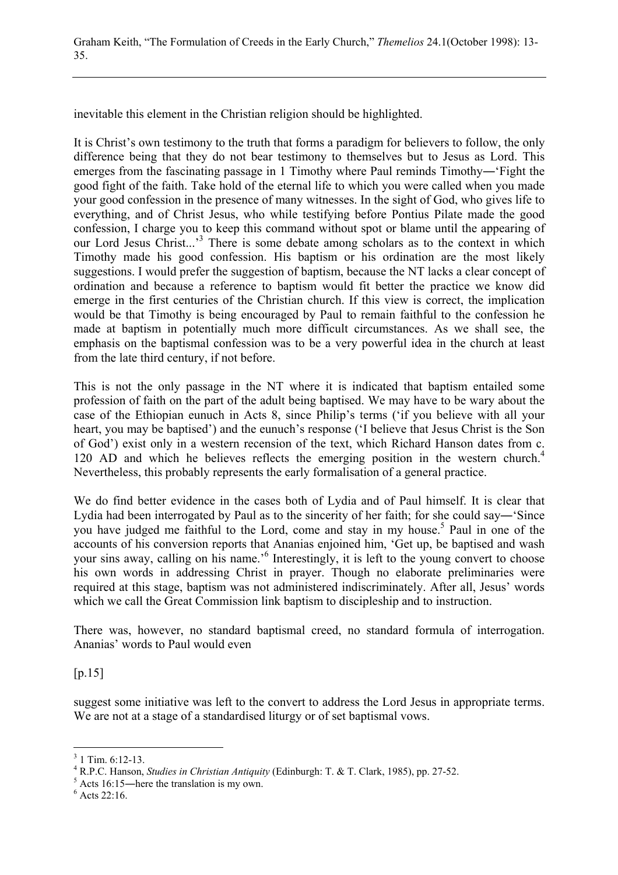inevitable this element in the Christian religion should be highlighted.

It is Christ's own testimony to the truth that forms a paradigm for believers to follow, the only difference being that they do not bear testimony to themselves but to Jesus as Lord. This emerges from the fascinating passage in 1 Timothy where Paul reminds Timothy―'Fight the good fight of the faith. Take hold of the eternal life to which you were called when you made your good confession in the presence of many witnesses. In the sight of God, who gives life to everything, and of Christ Jesus, who while testifying before Pontius Pilate made the good confession, I charge you to keep this command without spot or blame until the appearing of our Lord Jesus Christ...<sup>3</sup> There is some debate among scholars as to the context in which Timothy made his good confession. His baptism or his ordination are the most likely suggestions. I would prefer the suggestion of baptism, because the NT lacks a clear concept of ordination and because a reference to baptism would fit better the practice we know did emerge in the first centuries of the Christian church. If this view is correct, the implication would be that Timothy is being encouraged by Paul to remain faithful to the confession he made at baptism in potentially much more difficult circumstances. As we shall see, the emphasis on the baptismal confession was to be a very powerful idea in the church at least from the late third century, if not before.

This is not the only passage in the NT where it is indicated that baptism entailed some profession of faith on the part of the adult being baptised. We may have to be wary about the case of the Ethiopian eunuch in Acts 8, since Philip's terms ('if you believe with all your heart, you may be baptised') and the eunuch's response ('I believe that Jesus Christ is the Son of God') exist only in a western recension of the text, which Richard Hanson dates from c. 120 AD and which he believes reflects the emerging position in the western church.<sup>4</sup> Nevertheless, this probably represents the early formalisation of a general practice.

We do find better evidence in the cases both of Lydia and of Paul himself. It is clear that Lydia had been interrogated by Paul as to the sincerity of her faith; for she could say―'Since you have judged me faithful to the Lord, come and stay in my house.<sup>5</sup> Paul in one of the accounts of his conversion reports that Ananias enjoined him, 'Get up, be baptised and wash your sins away, calling on his name.<sup>'6</sup> Interestingly, it is left to the young convert to choose his own words in addressing Christ in prayer. Though no elaborate preliminaries were required at this stage, baptism was not administered indiscriminately. After all, Jesus' words which we call the Great Commission link baptism to discipleship and to instruction.

There was, however, no standard baptismal creed, no standard formula of interrogation. Ananias' words to Paul would even

[p.15]

 $\overline{a}$ 

suggest some initiative was left to the convert to address the Lord Jesus in appropriate terms. We are not at a stage of a standardised liturgy or of set baptismal vows.

 $3$  1 Tim. 6:12-13.

<sup>&</sup>lt;sup>4</sup> R.P.C. Hanson, *Studies in Christian Antiquity* (Edinburgh: T. & T. Clark, 1985), pp. 27-52.

 $<sup>5</sup>$  Acts 16:15—here the translation is my own.</sup>

 $6$  Acts 22:16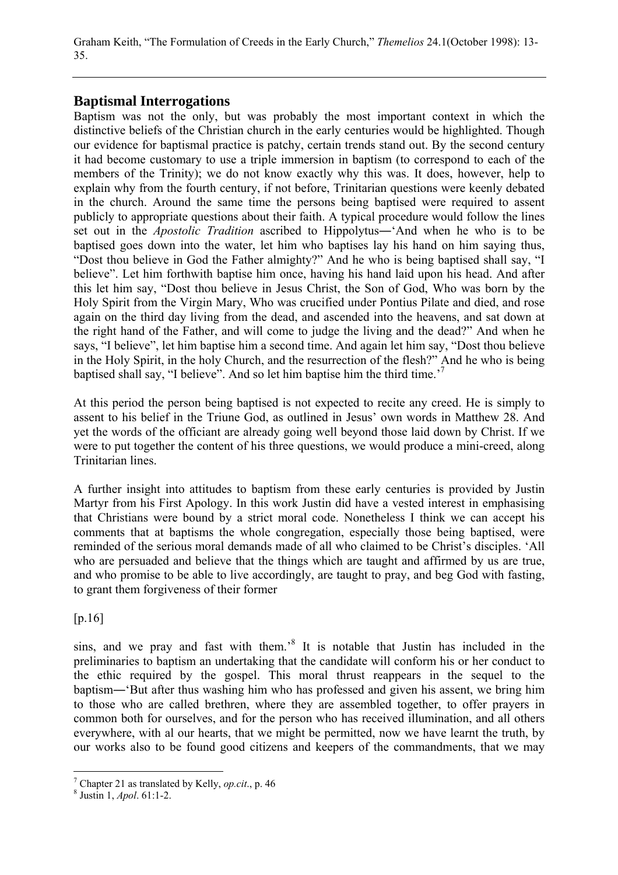# **Baptismal Interrogations**

Baptism was not the only, but was probably the most important context in which the distinctive beliefs of the Christian church in the early centuries would be highlighted. Though our evidence for baptismal practice is patchy, certain trends stand out. By the second century it had become customary to use a triple immersion in baptism (to correspond to each of the members of the Trinity); we do not know exactly why this was. It does, however, help to explain why from the fourth century, if not before, Trinitarian questions were keenly debated in the church. Around the same time the persons being baptised were required to assent publicly to appropriate questions about their faith. A typical procedure would follow the lines set out in the *Apostolic Tradition* ascribed to Hippolytus―'And when he who is to be baptised goes down into the water, let him who baptises lay his hand on him saying thus, "Dost thou believe in God the Father almighty?" And he who is being baptised shall say, "I believe". Let him forthwith baptise him once, having his hand laid upon his head. And after this let him say, "Dost thou believe in Jesus Christ, the Son of God, Who was born by the Holy Spirit from the Virgin Mary, Who was crucified under Pontius Pilate and died, and rose again on the third day living from the dead, and ascended into the heavens, and sat down at the right hand of the Father, and will come to judge the living and the dead?" And when he says, "I believe", let him baptise him a second time. And again let him say, "Dost thou believe in the Holy Spirit, in the holy Church, and the resurrection of the flesh?" And he who is being baptised shall say, "I believe". And so let him baptise him the third time.'7

At this period the person being baptised is not expected to recite any creed. He is simply to assent to his belief in the Triune God, as outlined in Jesus' own words in Matthew 28. And yet the words of the officiant are already going well beyond those laid down by Christ. If we were to put together the content of his three questions, we would produce a mini-creed, along Trinitarian lines.

A further insight into attitudes to baptism from these early centuries is provided by Justin Martyr from his First Apology. In this work Justin did have a vested interest in emphasising that Christians were bound by a strict moral code. Nonetheless I think we can accept his comments that at baptisms the whole congregation, especially those being baptised, were reminded of the serious moral demands made of all who claimed to be Christ's disciples. 'All who are persuaded and believe that the things which are taught and affirmed by us are true, and who promise to be able to live accordingly, are taught to pray, and beg God with fasting, to grant them forgiveness of their former

[p.16]

 $\overline{a}$ 

sins, and we pray and fast with them.<sup>8</sup> It is notable that Justin has included in the preliminaries to baptism an undertaking that the candidate will conform his or her conduct to the ethic required by the gospel. This moral thrust reappears in the sequel to the baptism―'But after thus washing him who has professed and given his assent, we bring him to those who are called brethren, where they are assembled together, to offer prayers in common both for ourselves, and for the person who has received illumination, and all others everywhere, with al our hearts, that we might be permitted, now we have learnt the truth, by our works also to be found good citizens and keepers of the commandments, that we may

<sup>&</sup>lt;sup>7</sup> Chapter 21 as translated by Kelly, *op.cit.*, p. 46<sup>8</sup> lystin 1, *Apol*, 61:1.2

Justin 1, *Apol*. 61:1-2.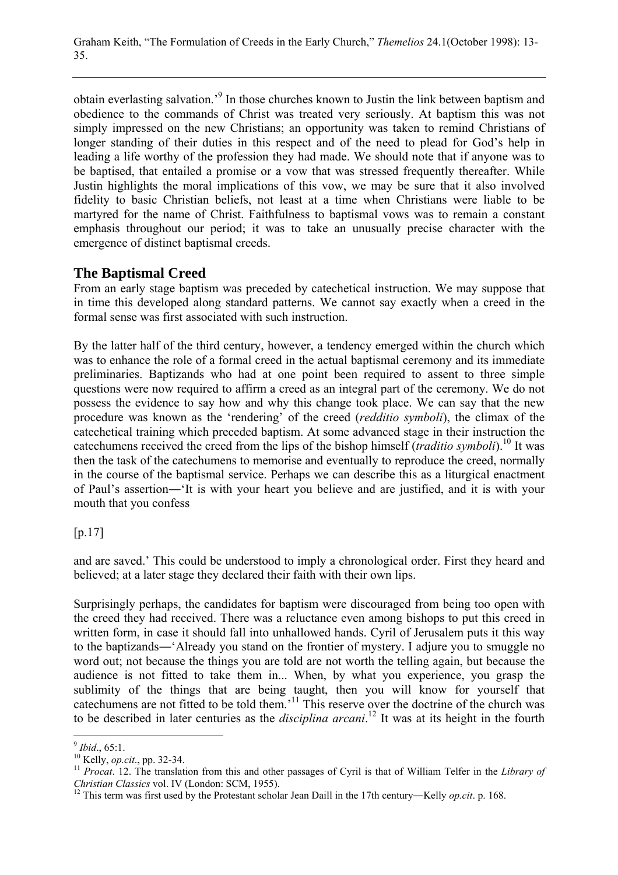obtain everlasting salvation.<sup>9</sup> In those churches known to Justin the link between baptism and obedience to the commands of Christ was treated very seriously. At baptism this was not simply impressed on the new Christians; an opportunity was taken to remind Christians of longer standing of their duties in this respect and of the need to plead for God's help in leading a life worthy of the profession they had made. We should note that if anyone was to be baptised, that entailed a promise or a vow that was stressed frequently thereafter. While Justin highlights the moral implications of this vow, we may be sure that it also involved fidelity to basic Christian beliefs, not least at a time when Christians were liable to be martyred for the name of Christ. Faithfulness to baptismal vows was to remain a constant emphasis throughout our period; it was to take an unusually precise character with the emergence of distinct baptismal creeds.

# **The Baptismal Creed**

From an early stage baptism was preceded by catechetical instruction. We may suppose that in time this developed along standard patterns. We cannot say exactly when a creed in the formal sense was first associated with such instruction.

By the latter half of the third century, however, a tendency emerged within the church which was to enhance the role of a formal creed in the actual baptismal ceremony and its immediate preliminaries. Baptizands who had at one point been required to assent to three simple questions were now required to affirm a creed as an integral part of the ceremony. We do not possess the evidence to say how and why this change took place. We can say that the new procedure was known as the 'rendering' of the creed (*redditio symboli*), the climax of the catechetical training which preceded baptism. At some advanced stage in their instruction the catechumens received the creed from the lips of the bishop himself (*traditio symboli*).10 It was then the task of the catechumens to memorise and eventually to reproduce the creed, normally in the course of the baptismal service. Perhaps we can describe this as a liturgical enactment of Paul's assertion―'It is with your heart you believe and are justified, and it is with your mouth that you confess

#### $[p.17]$

and are saved.' This could be understood to imply a chronological order. First they heard and believed; at a later stage they declared their faith with their own lips.

Surprisingly perhaps, the candidates for baptism were discouraged from being too open with the creed they had received. There was a reluctance even among bishops to put this creed in written form, in case it should fall into unhallowed hands. Cyril of Jerusalem puts it this way to the baptizands―'Already you stand on the frontier of mystery. I adjure you to smuggle no word out; not because the things you are told are not worth the telling again, but because the audience is not fitted to take them in... When, by what you experience, you grasp the sublimity of the things that are being taught, then you will know for yourself that catechumens are not fitted to be told them.'11 This reserve over the doctrine of the church was to be described in later centuries as the *disciplina arcani*. 12 It was at its height in the fourth

 $9$  Ibid., 65:1.

*Ibida*., 65.1.<br><sup>10</sup> Kelly, *op.cit.*, pp. 32-34.<br><sup>11</sup> *Procat*. 12. The translation from this and other passages of Cyril is that of William Telfer in the *Library of*<br>*Christian Classics* vol. IV (London: SCM, 1955).

<sup>&</sup>lt;sup>12</sup> This term was first used by the Protestant scholar Jean Daill in the 17th century—Kelly *op.cit*. p. 168.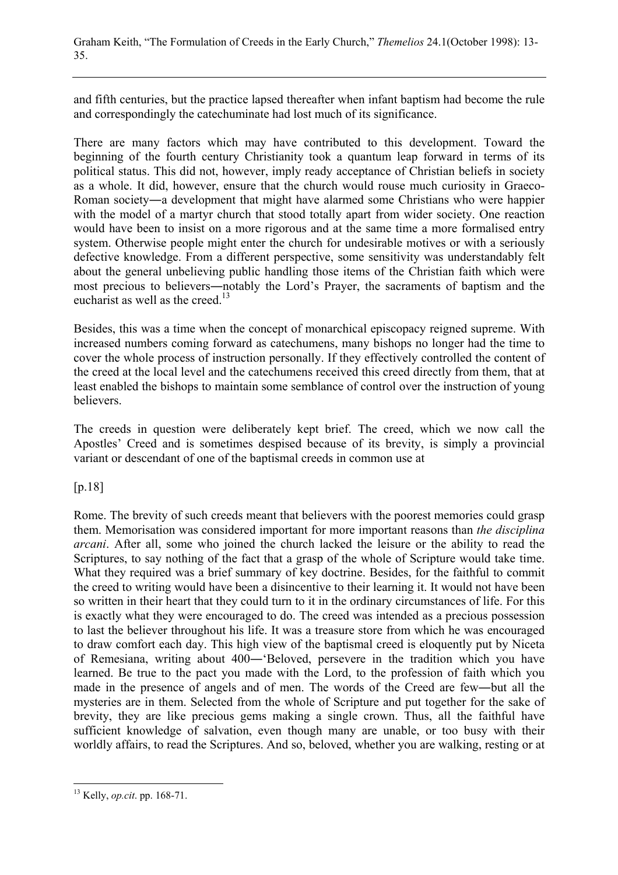and fifth centuries, but the practice lapsed thereafter when infant baptism had become the rule and correspondingly the catechuminate had lost much of its significance.

There are many factors which may have contributed to this development. Toward the beginning of the fourth century Christianity took a quantum leap forward in terms of its political status. This did not, however, imply ready acceptance of Christian beliefs in society as a whole. It did, however, ensure that the church would rouse much curiosity in Graeco-Roman society―a development that might have alarmed some Christians who were happier with the model of a martyr church that stood totally apart from wider society. One reaction would have been to insist on a more rigorous and at the same time a more formalised entry system. Otherwise people might enter the church for undesirable motives or with a seriously defective knowledge. From a different perspective, some sensitivity was understandably felt about the general unbelieving public handling those items of the Christian faith which were most precious to believers―notably the Lord's Prayer, the sacraments of baptism and the eucharist as well as the creed.<sup>13</sup>

Besides, this was a time when the concept of monarchical episcopacy reigned supreme. With increased numbers coming forward as catechumens, many bishops no longer had the time to cover the whole process of instruction personally. If they effectively controlled the content of the creed at the local level and the catechumens received this creed directly from them, that at least enabled the bishops to maintain some semblance of control over the instruction of young believers.

The creeds in question were deliberately kept brief. The creed, which we now call the Apostles' Creed and is sometimes despised because of its brevity, is simply a provincial variant or descendant of one of the baptismal creeds in common use at

[p.18]

Rome. The brevity of such creeds meant that believers with the poorest memories could grasp them. Memorisation was considered important for more important reasons than *the disciplina arcani*. After all, some who joined the church lacked the leisure or the ability to read the Scriptures, to say nothing of the fact that a grasp of the whole of Scripture would take time. What they required was a brief summary of key doctrine. Besides, for the faithful to commit the creed to writing would have been a disincentive to their learning it. It would not have been so written in their heart that they could turn to it in the ordinary circumstances of life. For this is exactly what they were encouraged to do. The creed was intended as a precious possession to last the believer throughout his life. It was a treasure store from which he was encouraged to draw comfort each day. This high view of the baptismal creed is eloquently put by Niceta of Remesiana, writing about 400―'Beloved, persevere in the tradition which you have learned. Be true to the pact you made with the Lord, to the profession of faith which you made in the presence of angels and of men. The words of the Creed are few―but all the mysteries are in them. Selected from the whole of Scripture and put together for the sake of brevity, they are like precious gems making a single crown. Thus, all the faithful have sufficient knowledge of salvation, even though many are unable, or too busy with their worldly affairs, to read the Scriptures. And so, beloved, whether you are walking, resting or at

 $\overline{a}$ 13 Kelly, *op.cit*. pp. 168-71.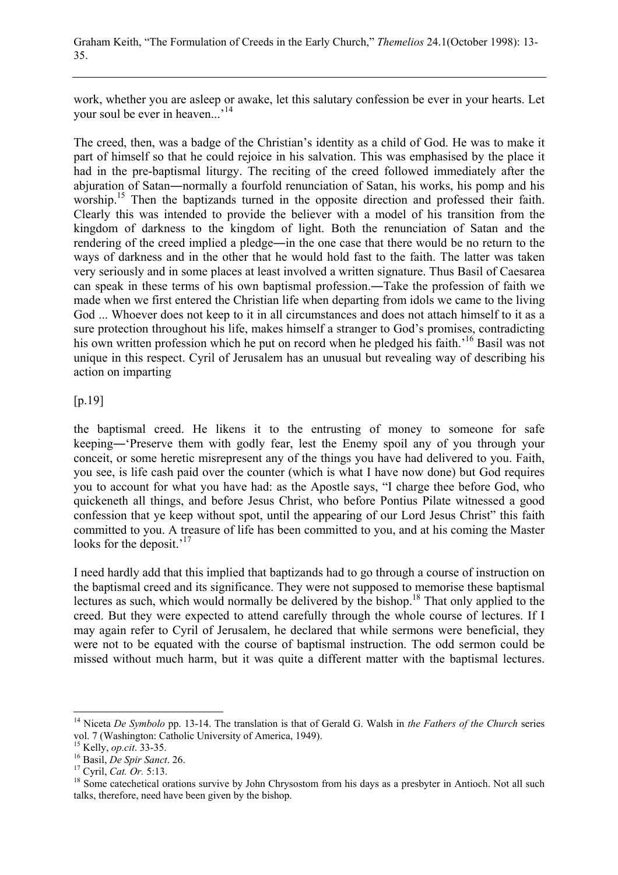work, whether you are asleep or awake, let this salutary confession be ever in your hearts. Let your soul be ever in heaven...'<sup>14</sup>

The creed, then, was a badge of the Christian's identity as a child of God. He was to make it part of himself so that he could rejoice in his salvation. This was emphasised by the place it had in the pre-baptismal liturgy. The reciting of the creed followed immediately after the abjuration of Satan―normally a fourfold renunciation of Satan, his works, his pomp and his worship.<sup>15</sup> Then the baptizands turned in the opposite direction and professed their faith. Clearly this was intended to provide the believer with a model of his transition from the kingdom of darkness to the kingdom of light. Both the renunciation of Satan and the rendering of the creed implied a pledge―in the one case that there would be no return to the ways of darkness and in the other that he would hold fast to the faith. The latter was taken very seriously and in some places at least involved a written signature. Thus Basil of Caesarea can speak in these terms of his own baptismal profession.―Take the profession of faith we made when we first entered the Christian life when departing from idols we came to the living God ... Whoever does not keep to it in all circumstances and does not attach himself to it as a sure protection throughout his life, makes himself a stranger to God's promises, contradicting his own written profession which he put on record when he pledged his faith.<sup>16</sup> Basil was not unique in this respect. Cyril of Jerusalem has an unusual but revealing way of describing his action on imparting

#### [p.19]

the baptismal creed. He likens it to the entrusting of money to someone for safe keeping―'Preserve them with godly fear, lest the Enemy spoil any of you through your conceit, or some heretic misrepresent any of the things you have had delivered to you. Faith, you see, is life cash paid over the counter (which is what I have now done) but God requires you to account for what you have had: as the Apostle says, "I charge thee before God, who quickeneth all things, and before Jesus Christ, who before Pontius Pilate witnessed a good confession that ye keep without spot, until the appearing of our Lord Jesus Christ" this faith committed to you. A treasure of life has been committed to you, and at his coming the Master looks for the deposit.<sup>'17</sup>

I need hardly add that this implied that baptizands had to go through a course of instruction on the baptismal creed and its significance. They were not supposed to memorise these baptismal lectures as such, which would normally be delivered by the bishop.<sup>18</sup> That only applied to the creed. But they were expected to attend carefully through the whole course of lectures. If I may again refer to Cyril of Jerusalem, he declared that while sermons were beneficial, they were not to be equated with the course of baptismal instruction. The odd sermon could be missed without much harm, but it was quite a different matter with the baptismal lectures.

<sup>14</sup> Niceta *De Symbolo* pp. 13-14. The translation is that of Gerald G. Walsh in *the Fathers of the Church* series vol. 7 (Washington: Catholic University of America, 1949).<br><sup>15</sup> Kelly, *op.cit.* 33-35.<br><sup>16</sup> Basil, *De Spir Sanct.* 26.<br><sup>17</sup> Cyril, *Cat. Or.* 5:13.<br><sup>18</sup> Some catechetical orations survive by John Chrysostom from his day

talks, therefore, need have been given by the bishop.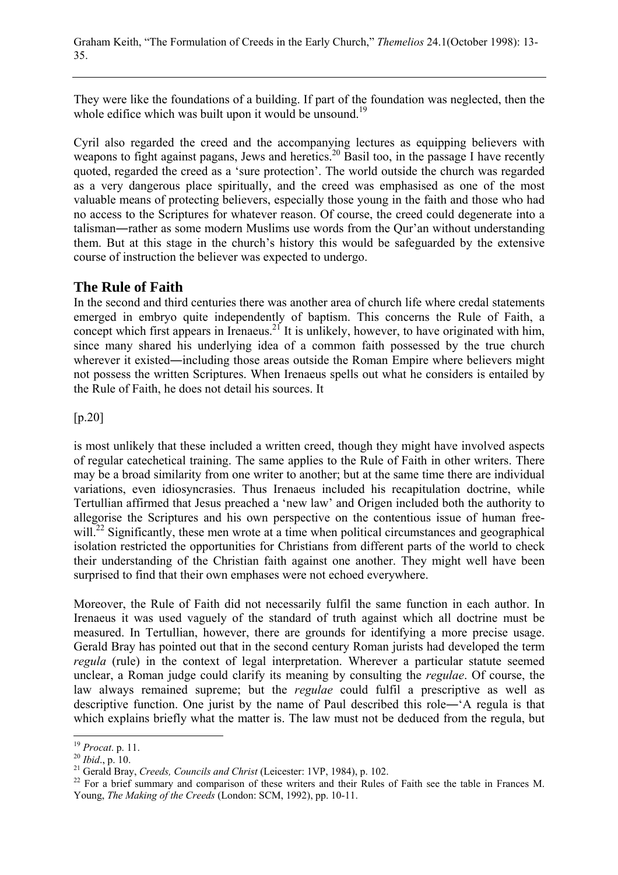They were like the foundations of a building. If part of the foundation was neglected, then the whole edifice which was built upon it would be unsound.<sup>19</sup>

Cyril also regarded the creed and the accompanying lectures as equipping believers with weapons to fight against pagans, Jews and heretics.<sup>20</sup> Basil too, in the passage I have recently quoted, regarded the creed as a 'sure protection'. The world outside the church was regarded as a very dangerous place spiritually, and the creed was emphasised as one of the most valuable means of protecting believers, especially those young in the faith and those who had no access to the Scriptures for whatever reason. Of course, the creed could degenerate into a talisman―rather as some modern Muslims use words from the Qur'an without understanding them. But at this stage in the church's history this would be safeguarded by the extensive course of instruction the believer was expected to undergo.

# **The Rule of Faith**

In the second and third centuries there was another area of church life where credal statements emerged in embryo quite independently of baptism. This concerns the Rule of Faith, a concept which first appears in Irenaeus.<sup>21</sup> It is unlikely, however, to have originated with him, since many shared his underlying idea of a common faith possessed by the true church wherever it existed—including those areas outside the Roman Empire where believers might not possess the written Scriptures. When Irenaeus spells out what he considers is entailed by the Rule of Faith, he does not detail his sources. It

[p.20]

is most unlikely that these included a written creed, though they might have involved aspects of regular catechetical training. The same applies to the Rule of Faith in other writers. There may be a broad similarity from one writer to another; but at the same time there are individual variations, even idiosyncrasies. Thus Irenaeus included his recapitulation doctrine, while Tertullian affirmed that Jesus preached a 'new law' and Origen included both the authority to allegorise the Scriptures and his own perspective on the contentious issue of human freewill.<sup>22</sup> Significantly, these men wrote at a time when political circumstances and geographical isolation restricted the opportunities for Christians from different parts of the world to check their understanding of the Christian faith against one another. They might well have been surprised to find that their own emphases were not echoed everywhere.

Moreover, the Rule of Faith did not necessarily fulfil the same function in each author. In Irenaeus it was used vaguely of the standard of truth against which all doctrine must be measured. In Tertullian, however, there are grounds for identifying a more precise usage. Gerald Bray has pointed out that in the second century Roman jurists had developed the term *regula* (rule) in the context of legal interpretation. Wherever a particular statute seemed unclear, a Roman judge could clarify its meaning by consulting the *regulae*. Of course, the law always remained supreme; but the *regulae* could fulfil a prescriptive as well as descriptive function. One jurist by the name of Paul described this role―'A regula is that which explains briefly what the matter is. The law must not be deduced from the regula, but

 $19$  Procat. p. 11.

<sup>&</sup>lt;sup>20</sup> Ibid., p. 10.<br><sup>21</sup> Gerald Bray, *Creeds, Councils and Christ* (Leicester: 1VP, 1984), p. 102.<br><sup>22</sup> For a brief summary and comparison of these writers and their Rules of Faith see the table in Frances M. Young, *The Making of the Creeds* (London: SCM, 1992), pp. 10-11.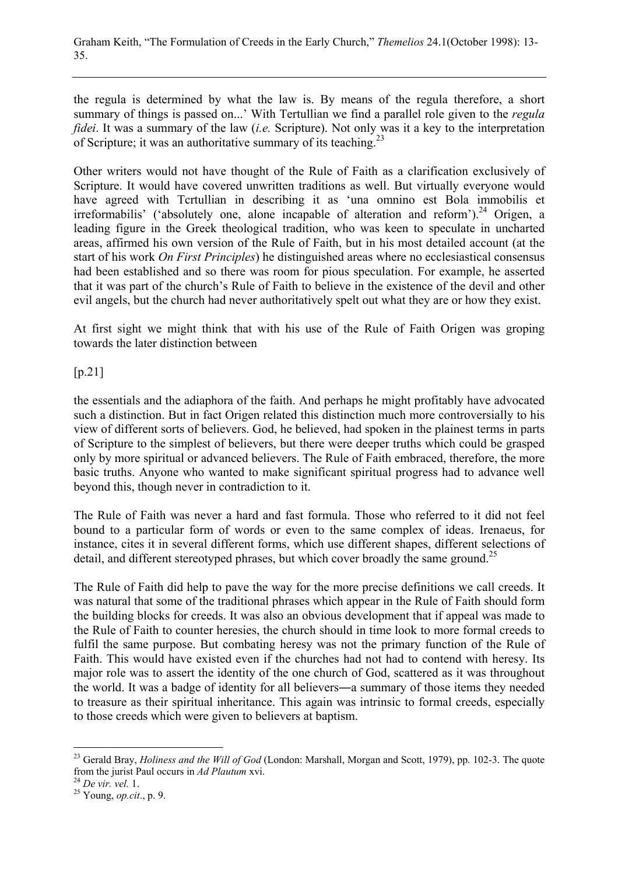the regula is determined by what the law is. By means of the regula therefore, a short summary of things is passed on...' With Tertullian we find a parallel role given to the *regula fidei*. It was a summary of the law (*i.e.* Scripture). Not only was it a key to the interpretation of Scripture; it was an authoritative summary of its teaching.<sup>23</sup>

Other writers would not have thought of the Rule of Faith as a clarification exclusively of Scripture. It would have covered unwritten traditions as well. But virtually everyone would have agreed with Tcrtullian in describing it as 'una omnino est Bola immobilis et irreformabilis' ('absolutely one, alone incapable of alteration and reform').<sup>24</sup> Origen, a leading figure in the Greek theological tradition, who was keen to speculate in uncharted areas, affirmed his own version of the Rule of Faith, but in his most detailed account (at the start of his work *On First Principles*) he distinguished areas where no ecclesiastical consensus had been established and so there was room for pious speculation. For example, he asserted that it was part of the church's Rule of Faith to believe in the existence of the devil and other evil angels, but the church had never authoritatively spelt out what they are or how they exist.

At first sight we might think that with his use of the Rule of Faith Origen was groping towards the later distinction between

[p.21]

the essentials and the adiaphora of the faith. And perhaps he might profitably have advocated such a distinction. But in fact Origen related this distinction much more controversially to his view of different sorts of believers. God, he believed, had spoken in the plainest terms in parts of Scripture to the simplest of believers, but there were deeper truths which could be grasped only by more spiritual or advanced believers. The Rule of Faith embraced, therefore, the more basic truths. Anyone who wanted to make significant spiritual progress had to advance well beyond this, though never in contradiction to it.

The Rule of Faith was never a hard and fast formula. Those who referred to it did not feel bound to a particular form of words or even to the same complex of ideas. Irenaeus, for instance, cites it in several different forms, which use different shapes, different selections of detail, and different stereotyped phrases, but which cover broadly the same ground.<sup>25</sup>

The Rule of Faith did help to pave the way for the more precise definitions we call creeds. It was natural that some of the traditional phrases which appear in the Rule of Faith should form the building blocks for creeds. It was also an obvious development that if appeal was made to the Rule of Faith to counter heresies, the church should in time look to more formal creeds to fulfil the same purpose. But combating heresy was not the primary function of the Rule of Faith. This would have existed even if the churches had not had to contend with heresy. Its major role was to assert the identity of the one church of God, scattered as it was throughout the world. It was a badge of identity for all believers―a summary of those items they needed to treasure as their spiritual inheritance. This again was intrinsic to formal creeds, especially to those creeds which were given to believers at baptism.

<sup>&</sup>lt;sup>23</sup> Gerald Bray, *Holiness and the Will of God* (London: Marshall, Morgan and Scott, 1979), pp. 102-3. The quote from the jurist Paul occurs in *Ad Plautum* xvi. <sup>24</sup> *De vir. vel.* 1. 25 Young, *op.cit*., p. 9.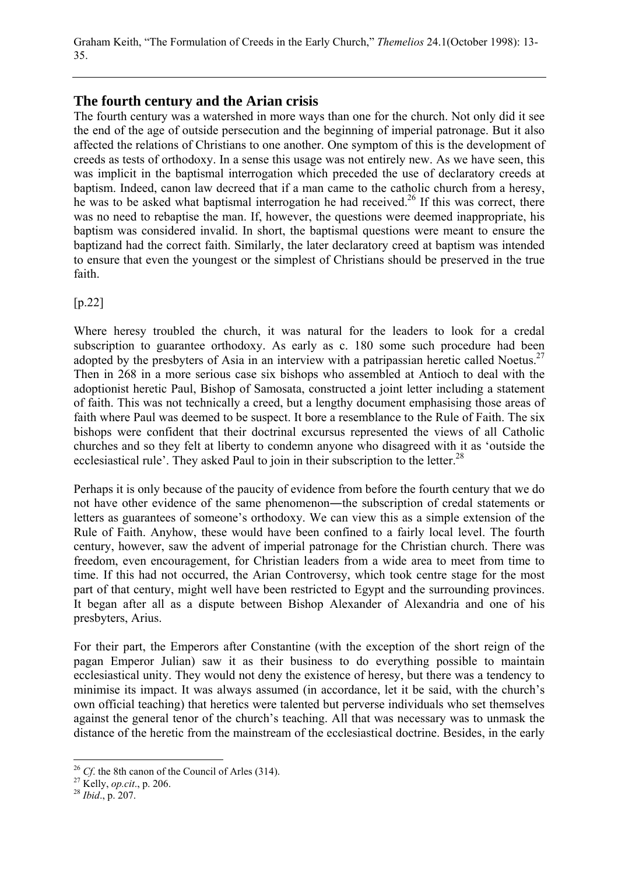# **The fourth century and the Arian crisis**

The fourth century was a watershed in more ways than one for the church. Not only did it see the end of the age of outside persecution and the beginning of imperial patronage. But it also affected the relations of Christians to one another. One symptom of this is the development of creeds as tests of orthodoxy. In a sense this usage was not entirely new. As we have seen, this was implicit in the baptismal interrogation which preceded the use of declaratory creeds at baptism. Indeed, canon law decreed that if a man came to the catholic church from a heresy, he was to be asked what baptismal interrogation he had received.<sup>26</sup> If this was correct, there was no need to rebaptise the man. If, however, the questions were deemed inappropriate, his baptism was considered invalid. In short, the baptismal questions were meant to ensure the baptizand had the correct faith. Similarly, the later declaratory creed at baptism was intended to ensure that even the youngest or the simplest of Christians should be preserved in the true faith.

[p.22]

Where heresy troubled the church, it was natural for the leaders to look for a credal subscription to guarantee orthodoxy. As early as c. 180 some such procedure had been adopted by the presbyters of Asia in an interview with a patripassian heretic called Noetus.<sup>27</sup> Then in 268 in a more serious case six bishops who assembled at Antioch to deal with the adoptionist heretic Paul, Bishop of Samosata, constructed a joint letter including a statement of faith. This was not technically a creed, but a lengthy document emphasising those areas of faith where Paul was deemed to be suspect. It bore a resemblance to the Rule of Faith. The six bishops were confident that their doctrinal excursus represented the views of all Catholic churches and so they felt at liberty to condemn anyone who disagreed with it as 'outside the ecclesiastical rule'. They asked Paul to join in their subscription to the letter.<sup>28</sup>

Perhaps it is only because of the paucity of evidence from before the fourth century that we do not have other evidence of the same phenomenon―the subscription of credal statements or letters as guarantees of someone's orthodoxy. We can view this as a simple extension of the Rule of Faith. Anyhow, these would have been confined to a fairly local level. The fourth century, however, saw the advent of imperial patronage for the Christian church. There was freedom, even encouragement, for Christian leaders from a wide area to meet from time to time. If this had not occurred, the Arian Controversy, which took centre stage for the most part of that century, might well have been restricted to Egypt and the surrounding provinces. It began after all as a dispute between Bishop Alexander of Alexandria and one of his presbyters, Arius.

For their part, the Emperors after Constantine (with the exception of the short reign of the pagan Emperor Julian) saw it as their business to do everything possible to maintain ecclesiastical unity. They would not deny the existence of heresy, but there was a tendency to minimise its impact. It was always assumed (in accordance, let it be said, with the church's own official teaching) that heretics were talented but perverse individuals who set themselves against the general tenor of the church's teaching. All that was necessary was to unmask the distance of the heretic from the mainstream of the ecclesiastical doctrine. Besides, in the early

<sup>26</sup> *Cf*. the 8th canon of the Council of Arles (314). 27 Kelly, *op.cit*., p. 206. <sup>28</sup> *Ibid*., p. 207.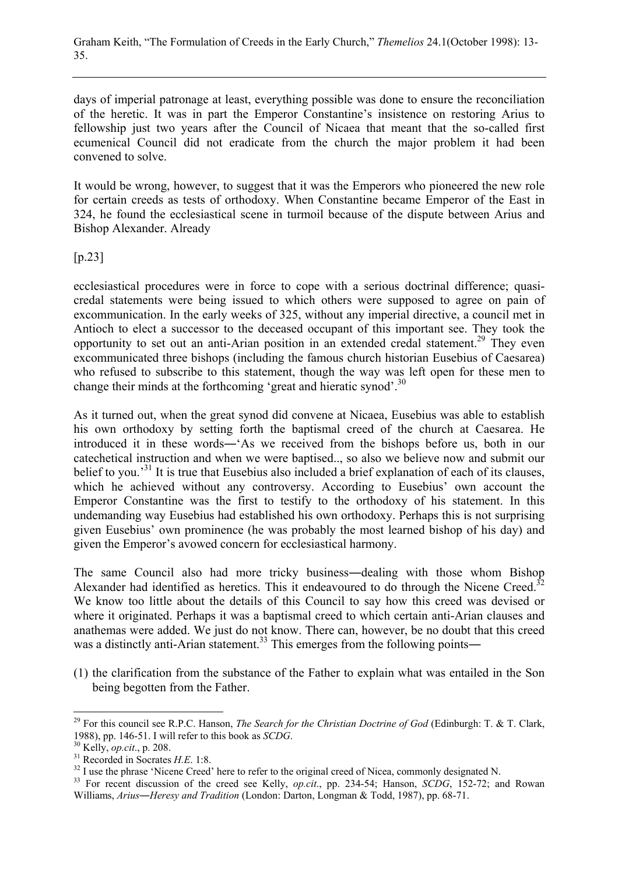days of imperial patronage at least, everything possible was done to ensure the reconciliation of the heretic. It was in part the Emperor Constantine's insistence on restoring Arius to fellowship just two years after the Council of Nicaea that meant that the so-called first ecumenical Council did not eradicate from the church the major problem it had been convened to solve.

It would be wrong, however, to suggest that it was the Emperors who pioneered the new role for certain creeds as tests of orthodoxy. When Constantine became Emperor of the East in 324, he found the ecclesiastical scene in turmoil because of the dispute between Arius and Bishop Alexander. Already

[p.23]

ecclesiastical procedures were in force to cope with a serious doctrinal difference; quasicredal statements were being issued to which others were supposed to agree on pain of excommunication. In the early weeks of 325, without any imperial directive, a council met in Antioch to elect a successor to the deceased occupant of this important see. They took the opportunity to set out an anti-Arian position in an extended credal statement.<sup>29</sup> They even excommunicated three bishops (including the famous church historian Eusebius of Caesarea) who refused to subscribe to this statement, though the way was left open for these men to change their minds at the forthcoming 'great and hieratic synod'.30

As it turned out, when the great synod did convene at Nicaea, Eusebius was able to establish his own orthodoxy by setting forth the baptismal creed of the church at Caesarea. He introduced it in these words―'As we received from the bishops before us, both in our catechetical instruction and when we were baptised.., so also we believe now and submit our belief to you.<sup>31</sup> It is true that Eusebius also included a brief explanation of each of its clauses, which he achieved without any controversy. According to Eusebius' own account the Emperor Constantine was the first to testify to the orthodoxy of his statement. In this undemanding way Eusebius had established his own orthodoxy. Perhaps this is not surprising given Eusebius' own prominence (he was probably the most learned bishop of his day) and given the Emperor's avowed concern for ecclesiastical harmony.

The same Council also had more tricky business―dealing with those whom Bishop Alexander had identified as heretics. This it endeavoured to do through the Nicene Creed.<sup>32</sup> We know too little about the details of this Council to say how this creed was devised or where it originated. Perhaps it was a baptismal creed to which certain anti-Arian clauses and anathemas were added. We just do not know. There can, however, be no doubt that this creed was a distinctly anti-Arian statement.<sup>33</sup> This emerges from the following points—

(1) the clarification from the substance of the Father to explain what was entailed in the Son being begotten from the Father.

<sup>&</sup>lt;sup>29</sup> For this council see R.P.C. Hanson, *The Search for the Christian Doctrine of God* (Edinburgh: T. & T. Clark 1988), pp. 146-51. I will refer to this book as *SCDG*.<br><sup>30</sup> Kelly, *op.cit.*, p. 208.<br><sup>31</sup> Recorded in Socrates *H.E.* 1:8.<br><sup>32</sup> I use the phrase 'Nicene Creed' here to refer to the original creed of Nicea, commonly desi

Williams, *Arius―Heresy and Tradition* (London: Darton, Longman & Todd, 1987), pp. 68-71.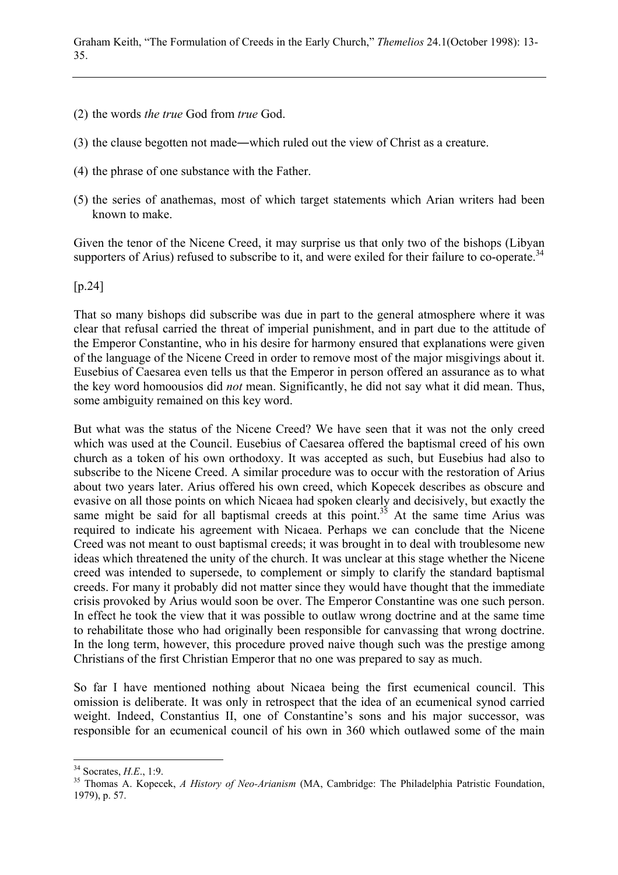- (2) the words *the true* God from *true* God.
- (3) the clause begotten not made―which ruled out the view of Christ as a creature.
- (4) the phrase of one substance with the Father.
- (5) the series of anathemas, most of which target statements which Arian writers had been known to make.

Given the tenor of the Nicene Creed, it may surprise us that only two of the bishops (Libyan supporters of Arius) refused to subscribe to it, and were exiled for their failure to co-operate.<sup>34</sup>

[p.24]

That so many bishops did subscribe was due in part to the general atmosphere where it was clear that refusal carried the threat of imperial punishment, and in part due to the attitude of the Emperor Constantine, who in his desire for harmony ensured that explanations were given of the language of the Nicene Creed in order to remove most of the major misgivings about it. Eusebius of Caesarea even tells us that the Emperor in person offered an assurance as to what the key word homoousios did *not* mean. Significantly, he did not say what it did mean. Thus, some ambiguity remained on this key word.

But what was the status of the Nicene Creed? We have seen that it was not the only creed which was used at the Council. Eusebius of Caesarea offered the baptismal creed of his own church as a token of his own orthodoxy. It was accepted as such, but Eusebius had also to subscribe to the Nicene Creed. A similar procedure was to occur with the restoration of Arius about two years later. Arius offered his own creed, which Kopecek describes as obscure and evasive on all those points on which Nicaea had spoken clearly and decisively, but exactly the same might be said for all baptismal creeds at this point.<sup>35</sup> At the same time Arius was required to indicate his agreement with Nicaea. Perhaps we can conclude that the Nicene Creed was not meant to oust baptismal creeds; it was brought in to deal with troublesome new ideas which threatened the unity of the church. It was unclear at this stage whether the Nicene creed was intended to supersede, to complement or simply to clarify the standard baptismal creeds. For many it probably did not matter since they would have thought that the immediate crisis provoked by Arius would soon be over. The Emperor Constantine was one such person. In effect he took the view that it was possible to outlaw wrong doctrine and at the same time to rehabilitate those who had originally been responsible for canvassing that wrong doctrine. In the long term, however, this procedure proved naive though such was the prestige among Christians of the first Christian Emperor that no one was prepared to say as much.

So far I have mentioned nothing about Nicaea being the first ecumenical council. This omission is deliberate. It was only in retrospect that the idea of an ecumenical synod carried weight. Indeed, Constantius II, one of Constantine's sons and his major successor, was responsible for an ecumenical council of his own in 360 which outlawed some of the main

 $34$  Socrates, H.E., 1:9.

<sup>&</sup>lt;sup>35</sup> Thomas A. Kopecek, *A History of Neo-Arianism* (MA, Cambridge: The Philadelphia Patristic Foundation, 1979), p. 57.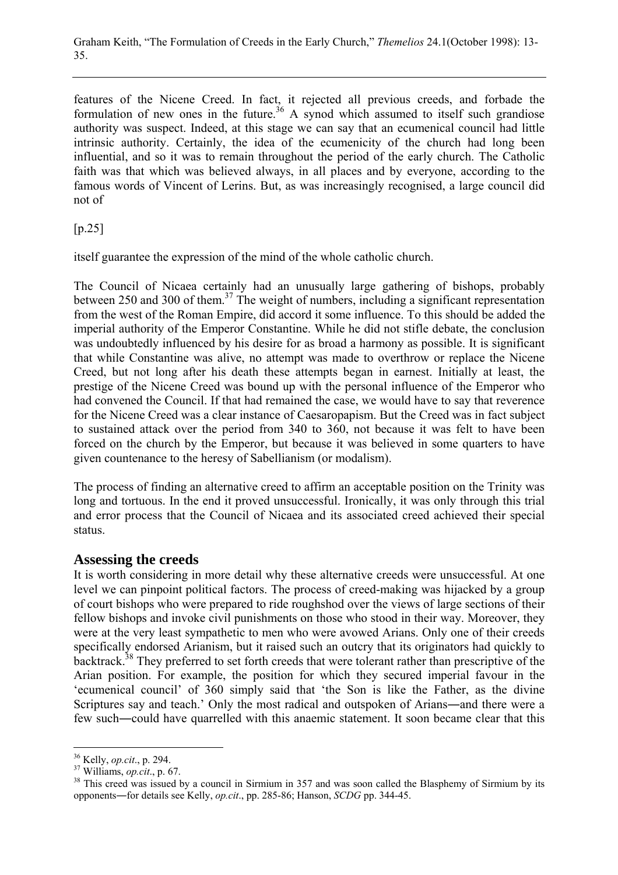features of the Nicene Creed. In fact, it rejected all previous creeds, and forbade the formulation of new ones in the future.<sup>36</sup> A synod which assumed to itself such grandiose authority was suspect. Indeed, at this stage we can say that an ecumenical council had little intrinsic authority. Certainly, the idea of the ecumenicity of the church had long been influential, and so it was to remain throughout the period of the early church. The Catholic faith was that which was believed always, in all places and by everyone, according to the famous words of Vincent of Lerins. But, as was increasingly recognised, a large council did not of

 $[p.25]$ 

itself guarantee the expression of the mind of the whole catholic church.

The Council of Nicaea certainly had an unusually large gathering of bishops, probably between 250 and 300 of them.<sup>37</sup> The weight of numbers, including a significant representation from the west of the Roman Empire, did accord it some influence. To this should be added the imperial authority of the Emperor Constantine. While he did not stifle debate, the conclusion was undoubtedly influenced by his desire for as broad a harmony as possible. It is significant that while Constantine was alive, no attempt was made to overthrow or replace the Nicene Creed, but not long after his death these attempts began in earnest. Initially at least, the prestige of the Nicene Creed was bound up with the personal influence of the Emperor who had convened the Council. If that had remained the case, we would have to say that reverence for the Nicene Creed was a clear instance of Caesaropapism. But the Creed was in fact subject to sustained attack over the period from 340 to 360, not because it was felt to have been forced on the church by the Emperor, but because it was believed in some quarters to have given countenance to the heresy of Sabellianism (or modalism).

The process of finding an alternative creed to affirm an acceptable position on the Trinity was long and tortuous. In the end it proved unsuccessful. Ironically, it was only through this trial and error process that the Council of Nicaea and its associated creed achieved their special status.

#### **Assessing the creeds**

It is worth considering in more detail why these alternative creeds were unsuccessful. At one level we can pinpoint political factors. The process of creed-making was hijacked by a group of court bishops who were prepared to ride roughshod over the views of large sections of their fellow bishops and invoke civil punishments on those who stood in their way. Moreover, they were at the very least sympathetic to men who were avowed Arians. Only one of their creeds specifically endorsed Arianism, but it raised such an outcry that its originators had quickly to backtrack.<sup>38</sup> They preferred to set forth creeds that were tolerant rather than prescriptive of the Arian position. For example, the position for which they secured imperial favour in the 'ecumenical council' of 360 simply said that 'the Son is like the Father, as the divine Scriptures say and teach.' Only the most radical and outspoken of Arians―and there were a few such―could have quarrelled with this anaemic statement. It soon became clear that this

<sup>&</sup>lt;sup>36</sup> Kelly, *op.cit.*, p. 294.<br><sup>37</sup> Williams, *op.cit.*, p. 67.<br><sup>38</sup> This creed was issued by a council in Sirmium in 357 and was soon called the Blasphemy of Sirmium by its opponents―for details see Kelly, *op.cit*., pp. 285-86; Hanson, *SCDG* pp. 344-45.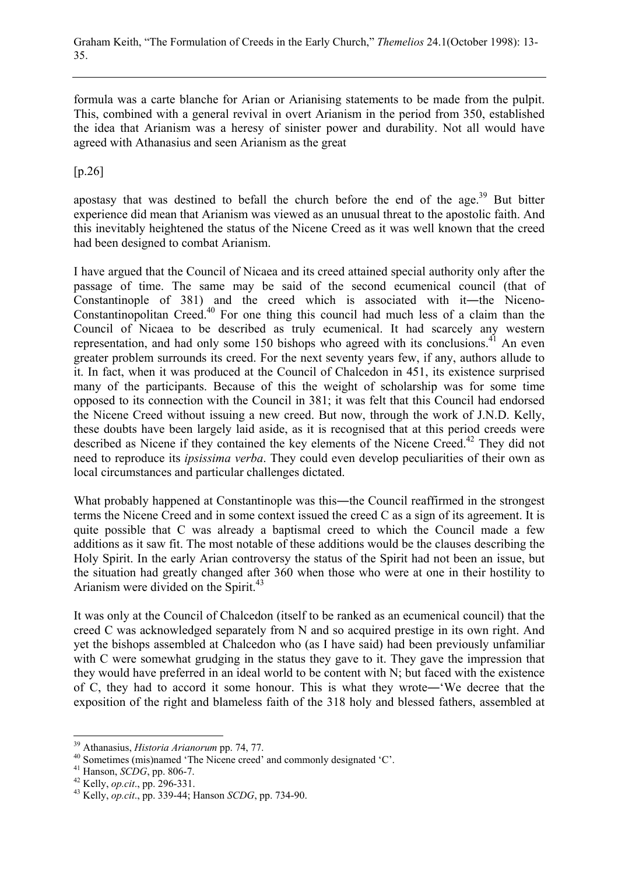formula was a carte blanche for Arian or Arianising statements to be made from the pulpit. This, combined with a general revival in overt Arianism in the period from 350, established the idea that Arianism was a heresy of sinister power and durability. Not all would have agreed with Athanasius and seen Arianism as the great

[p.26]

apostasy that was destined to befall the church before the end of the age.<sup>39</sup> But bitter experience did mean that Arianism was viewed as an unusual threat to the apostolic faith. And this inevitably heightened the status of the Nicene Creed as it was well known that the creed had been designed to combat Arianism.

I have argued that the Council of Nicaea and its creed attained special authority only after the passage of time. The same may be said of the second ecumenical council (that of Constantinople of 381) and the creed which is associated with it―the Niceno-Constantinopolitan Creed.40 For one thing this council had much less of a claim than the Council of Nicaea to be described as truly ecumenical. It had scarcely any western representation, and had only some 150 bishops who agreed with its conclusions.<sup>41</sup> An even greater problem surrounds its creed. For the next seventy years few, if any, authors allude to it. In fact, when it was produced at the Council of Chalcedon in 451, its existence surprised many of the participants. Because of this the weight of scholarship was for some time opposed to its connection with the Council in 381; it was felt that this Council had endorsed the Nicene Creed without issuing a new creed. But now, through the work of J.N.D. Kelly, these doubts have been largely laid aside, as it is recognised that at this period creeds were described as Nicene if they contained the key elements of the Nicene Creed.<sup>42</sup> They did not need to reproduce its *ipsissima verba*. They could even develop peculiarities of their own as local circumstances and particular challenges dictated.

What probably happened at Constantinople was this—the Council reaffirmed in the strongest terms the Nicene Creed and in some context issued the creed C as a sign of its agreement. It is quite possible that C was already a baptismal creed to which the Council made a few additions as it saw fit. The most notable of these additions would be the clauses describing the Holy Spirit. In the early Arian controversy the status of the Spirit had not been an issue, but the situation had greatly changed after 360 when those who were at one in their hostility to Arianism were divided on the Spirit.<sup>43</sup>

It was only at the Council of Chalcedon (itself to be ranked as an ecumenical council) that the creed C was acknowledged separately from N and so acquired prestige in its own right. And yet the bishops assembled at Chalcedon who (as I have said) had been previously unfamiliar with C were somewhat grudging in the status they gave to it. They gave the impression that they would have preferred in an ideal world to be content with N; but faced with the existence of C, they had to accord it some honour. This is what they wrote―'We decree that the exposition of the right and blameless faith of the 318 holy and blessed fathers, assembled at

<sup>&</sup>lt;sup>39</sup> Athanasius, *Historia Arianorum* pp. 74, 77.

<sup>&</sup>lt;sup>40</sup> Sometimes (mis)named 'The Nicene creed' and commonly designated 'C'.<br><sup>41</sup> Hanson, *SCDG*, pp. 806-7.

<sup>41</sup> Hanson, *SCDG*, pp. 806-7. 42 Kelly, *op.cit*., pp. 296-331. 43 Kelly, *op.cit*., pp. 339-44; Hanson *SCDG*, pp. 734-90.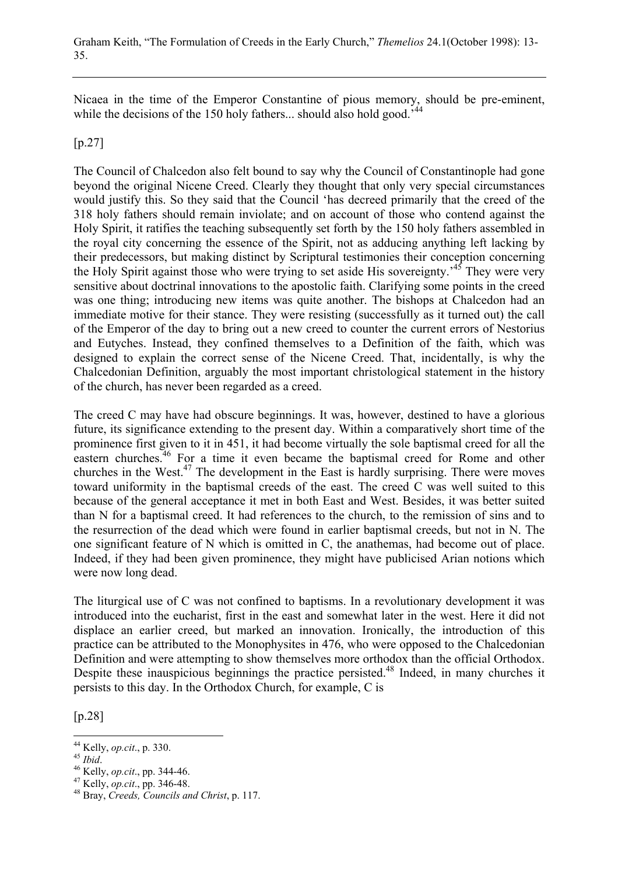Nicaea in the time of the Emperor Constantine of pious memory, should be pre-eminent, while the decisions of the 150 holy fathers... should also hold good.<sup>544</sup>

#### [p.27]

The Council of Chalcedon also felt bound to say why the Council of Constantinople had gone beyond the original Nicene Creed. Clearly they thought that only very special circumstances would justify this. So they said that the Council 'has decreed primarily that the creed of the 318 holy fathers should remain inviolate; and on account of those who contend against the Holy Spirit, it ratifies the teaching subsequently set forth by the 150 holy fathers assembled in the royal city concerning the essence of the Spirit, not as adducing anything left lacking by their predecessors, but making distinct by Scriptural testimonies their conception concerning the Holy Spirit against those who were trying to set aside His sovereignty.<sup>45</sup> They were very sensitive about doctrinal innovations to the apostolic faith. Clarifying some points in the creed was one thing; introducing new items was quite another. The bishops at Chalcedon had an immediate motive for their stance. They were resisting (successfully as it turned out) the call of the Emperor of the day to bring out a new creed to counter the current errors of Nestorius and Eutyches. Instead, they confined themselves to a Definition of the faith, which was designed to explain the correct sense of the Nicene Creed. That, incidentally, is why the Chalcedonian Definition, arguably the most important christological statement in the history of the church, has never been regarded as a creed.

The creed C may have had obscure beginnings. It was, however, destined to have a glorious future, its significance extending to the present day. Within a comparatively short time of the prominence first given to it in 451, it had become virtually the sole baptismal creed for all the eastern churches.<sup>46</sup> For a time it even became the baptismal creed for Rome and other churches in the West.<sup>47</sup> The development in the East is hardly surprising. There were moves toward uniformity in the baptismal creeds of the east. The creed C was well suited to this because of the general acceptance it met in both East and West. Besides, it was better suited than N for a baptismal creed. It had references to the church, to the remission of sins and to the resurrection of the dead which were found in earlier baptismal creeds, but not in N. The one significant feature of N which is omitted in C, the anathemas, had become out of place. Indeed, if they had been given prominence, they might have publicised Arian notions which were now long dead.

The liturgical use of C was not confined to baptisms. In a revolutionary development it was introduced into the eucharist, first in the east and somewhat later in the west. Here it did not displace an earlier creed, but marked an innovation. Ironically, the introduction of this practice can be attributed to the Monophysites in 476, who were opposed to the Chalcedonian Definition and were attempting to show themselves more orthodox than the official Orthodox. Despite these inauspicious beginnings the practice persisted.<sup>48</sup> Indeed, in many churches it persists to this day. In the Orthodox Church, for example, C is

[p.28]

<sup>&</sup>lt;sup>44</sup> Kelly, op.cit., p. 330.

<sup>45</sup> *Ibid.* 46 *Kelly, <i>op.cit.*, pp. 344-46. 47 *Kelly, <i>op.cit.*, pp. 344-46. 47 *Kelly, <i>op.cit.*, pp. 346-48. 48 Bray, *Creeds, Councils and Christ*, p. 117.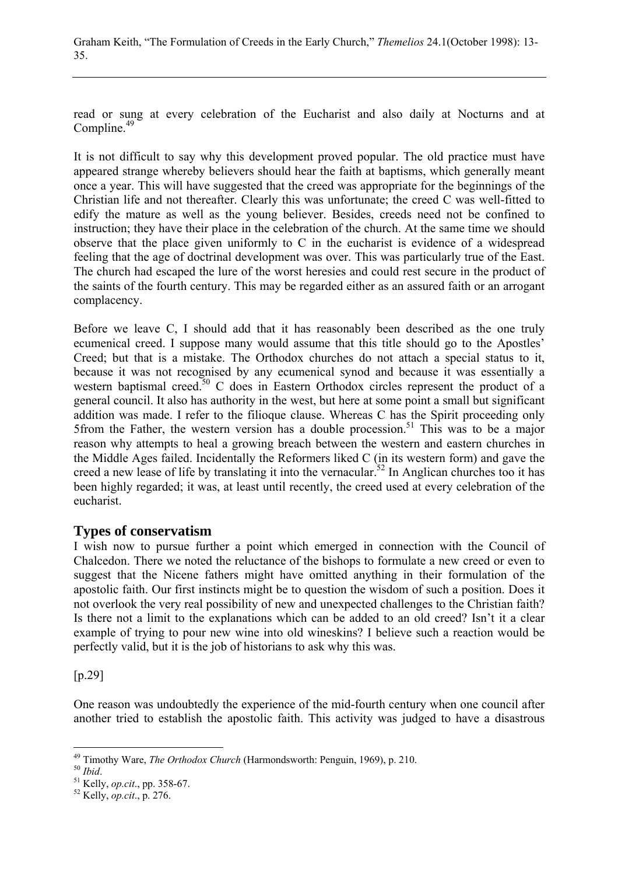read or sung at every celebration of the Eucharist and also daily at Nocturns and at Compline.<sup>49</sup>

It is not difficult to say why this development proved popular. The old practice must have appeared strange whereby believers should hear the faith at baptisms, which generally meant once a year. This will have suggested that the creed was appropriate for the beginnings of the Christian life and not thereafter. Clearly this was unfortunate; the creed C was well-fitted to edify the mature as well as the young believer. Besides, creeds need not be confined to instruction; they have their place in the celebration of the church. At the same time we should observe that the place given uniformly to C in the eucharist is evidence of a widespread feeling that the age of doctrinal development was over. This was particularly true of the East. The church had escaped the lure of the worst heresies and could rest secure in the product of the saints of the fourth century. This may be regarded either as an assured faith or an arrogant complacency.

Before we leave C, I should add that it has reasonably been described as the one truly ecumenical creed. I suppose many would assume that this title should go to the Apostles' Creed; but that is a mistake. The Orthodox churches do not attach a special status to it, because it was not recognised by any ecumenical synod and because it was essentially a western baptismal creed.<sup>50</sup> C does in Eastern Orthodox circles represent the product of a general council. It also has authority in the west, but here at some point a small but significant addition was made. I refer to the filioque clause. Whereas C has the Spirit proceeding only 5from the Father, the western version has a double procession.<sup>51</sup> This was to be a major reason why attempts to heal a growing breach between the western and eastern churches in the Middle Ages failed. Incidentally the Reformers liked C (in its western form) and gave the creed a new lease of life by translating it into the vernacular.<sup>52</sup> In Anglican churches too it has been highly regarded; it was, at least until recently, the creed used at every celebration of the eucharist.

#### **Types of conservatism**

I wish now to pursue further a point which emerged in connection with the Council of Chalcedon. There we noted the reluctance of the bishops to formulate a new creed or even to suggest that the Nicene fathers might have omitted anything in their formulation of the apostolic faith. Our first instincts might be to question the wisdom of such a position. Does it not overlook the very real possibility of new and unexpected challenges to the Christian faith? Is there not a limit to the explanations which can be added to an old creed? Isn't it a clear example of trying to pour new wine into old wineskins? I believe such a reaction would be perfectly valid, but it is the job of historians to ask why this was.

[p.29]

One reason was undoubtedly the experience of the mid-fourth century when one council after another tried to establish the apostolic faith. This activity was judged to have a disastrous

<sup>&</sup>lt;sup>49</sup> Timothy Ware, *The Orthodox Church* (Harmondsworth: Penguin, 1969), p. 210.<br><sup>50</sup> *Ibid. Kelly, op.cit.*, pp. 358-67. 52 Kelly, *op.cit.*, p. 276.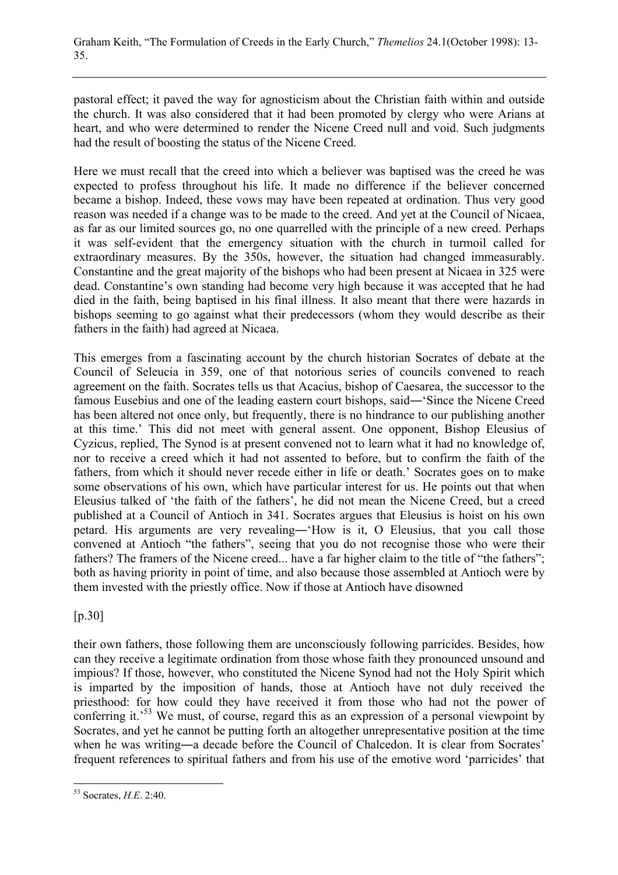pastoral effect; it paved the way for agnosticism about the Christian faith within and outside the church. It was also considered that it had been promoted by clergy who were Arians at heart, and who were determined to render the Nicene Creed null and void. Such judgments had the result of boosting the status of the Nicene Creed.

Here we must recall that the creed into which a believer was baptised was the creed he was expected to profess throughout his life. It made no difference if the believer concerned became a bishop. Indeed, these vows may have been repeated at ordination. Thus very good reason was needed if a change was to be made to the creed. And yet at the Council of Nicaea, as far as our limited sources go, no one quarrelled with the principle of a new creed. Perhaps it was self-evident that the emergency situation with the church in turmoil called for extraordinary measures. By the 350s, however, the situation had changed immeasurably. Constantine and the great majority of the bishops who had been present at Nicaea in 325 were dead. Constantine's own standing had become very high because it was accepted that he had died in the faith, being baptised in his final illness. It also meant that there were hazards in bishops seeming to go against what their predecessors (whom they would describe as their fathers in the faith) had agreed at Nicaea.

This emerges from a fascinating account by the church historian Socrates of debate at the Council of Seleucia in 359, one of that notorious series of councils convened to reach agreement on the faith. Socrates tells us that Acacius, bishop of Caesarea, the successor to the famous Eusebius and one of the leading eastern court bishops, said―'Since the Nicene Creed has been altered not once only, but frequently, there is no hindrance to our publishing another at this time.' This did not meet with general assent. One opponent, Bishop Eleusius of Cyzicus, replied, The Synod is at present convened not to learn what it had no knowledge of, nor to receive a creed which it had not assented to before, but to confirm the faith of the fathers, from which it should never recede either in life or death.' Socrates goes on to make some observations of his own, which have particular interest for us. He points out that when Eleusius talked of 'the faith of the fathers', he did not mean the Nicene Creed, but a creed published at a Council of Antioch in 341. Socrates argues that Eleusius is hoist on his own petard. His arguments are very revealing―'How is it, O Eleusius, that you call those convened at Antioch "the fathers", seeing that you do not recognise those who were their fathers? The framers of the Nicene creed... have a far higher claim to the title of "the fathers"; both as having priority in point of time, and also because those assembled at Antioch were by them invested with the priestly office. Now if those at Antioch have disowned

[p.30]

their own fathers, those following them are unconsciously following parricides. Besides, how can they receive a legitimate ordination from those whose faith they pronounced unsound and impious? If those, however, who constituted the Nicene Synod had not the Holy Spirit which is imparted by the imposition of hands, those at Antioch have not duly received the priesthood: for how could they have received it from those who had not the power of conferring it.<sup>53</sup> We must, of course, regard this as an expression of a personal viewpoint by Socrates, and yet he cannot be putting forth an altogether unrepresentative position at the time when he was writing—a decade before the Council of Chalcedon. It is clear from Socrates' frequent references to spiritual fathers and from his use of the emotive word 'parricides' that

 $\overline{a}$ 53 Socrates, *H.E*. 2:40.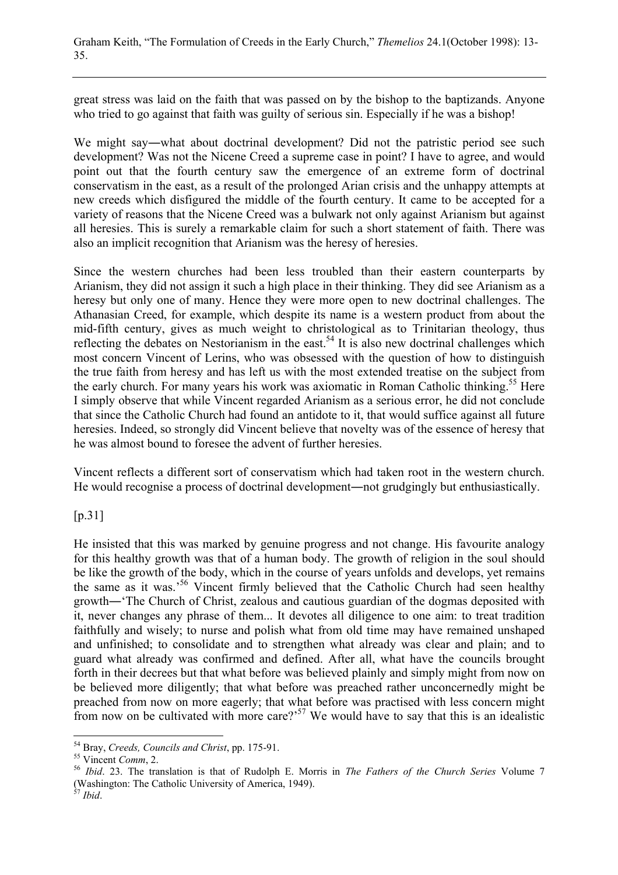great stress was laid on the faith that was passed on by the bishop to the baptizands. Anyone who tried to go against that faith was guilty of serious sin. Especially if he was a bishop!

We might say―what about doctrinal development? Did not the patristic period see such development? Was not the Nicene Creed a supreme case in point? I have to agree, and would point out that the fourth century saw the emergence of an extreme form of doctrinal conservatism in the east, as a result of the prolonged Arian crisis and the unhappy attempts at new creeds which disfigured the middle of the fourth century. It came to be accepted for a variety of reasons that the Nicene Creed was a bulwark not only against Arianism but against all heresies. This is surely a remarkable claim for such a short statement of faith. There was also an implicit recognition that Arianism was the heresy of heresies.

Since the western churches had been less troubled than their eastern counterparts by Arianism, they did not assign it such a high place in their thinking. They did see Arianism as a heresy but only one of many. Hence they were more open to new doctrinal challenges. The Athanasian Creed, for example, which despite its name is a western product from about the mid-fifth century, gives as much weight to christological as to Trinitarian theology, thus reflecting the debates on Nestorianism in the east.<sup>54</sup> It is also new doctrinal challenges which most concern Vincent of Lerins, who was obsessed with the question of how to distinguish the true faith from heresy and has left us with the most extended treatise on the subject from the early church. For many years his work was axiomatic in Roman Catholic thinking.<sup>55</sup> Here I simply observe that while Vincent regarded Arianism as a serious error, he did not conclude that since the Catholic Church had found an antidote to it, that would suffice against all future heresies. Indeed, so strongly did Vincent believe that novelty was of the essence of heresy that he was almost bound to foresee the advent of further heresies.

Vincent reflects a different sort of conservatism which had taken root in the western church. He would recognise a process of doctrinal development―not grudgingly but enthusiastically.

[p.31]

He insisted that this was marked by genuine progress and not change. His favourite analogy for this healthy growth was that of a human body. The growth of religion in the soul should be like the growth of the body, which in the course of years unfolds and develops, yet remains the same as it was.'56 Vincent firmly believed that the Catholic Church had seen healthy growth―'The Church of Christ, zealous and cautious guardian of the dogmas deposited with it, never changes any phrase of them... It devotes all diligence to one aim: to treat tradition faithfully and wisely; to nurse and polish what from old time may have remained unshaped and unfinished; to consolidate and to strengthen what already was clear and plain; and to guard what already was confirmed and defined. After all, what have the councils brought forth in their decrees but that what before was believed plainly and simply might from now on be believed more diligently; that what before was preached rather unconcernedly might be preached from now on more eagerly; that what before was practised with less concern might from now on be cultivated with more care?<sup>57</sup> We would have to say that this is an idealistic

<sup>&</sup>lt;sup>54</sup> Bray, Creeds, Councils and Christ, pp. 175-91.

<sup>&</sup>lt;sup>55</sup> Vincent *Comm*, 2.<br><sup>56</sup> *Ibid.* 23. The translation is that of Rudolph E. Morris in *The Fathers of the Church Series* Volume 7 (Washington: The Catholic University of America, 1949). <sup>57</sup> *Ibid*.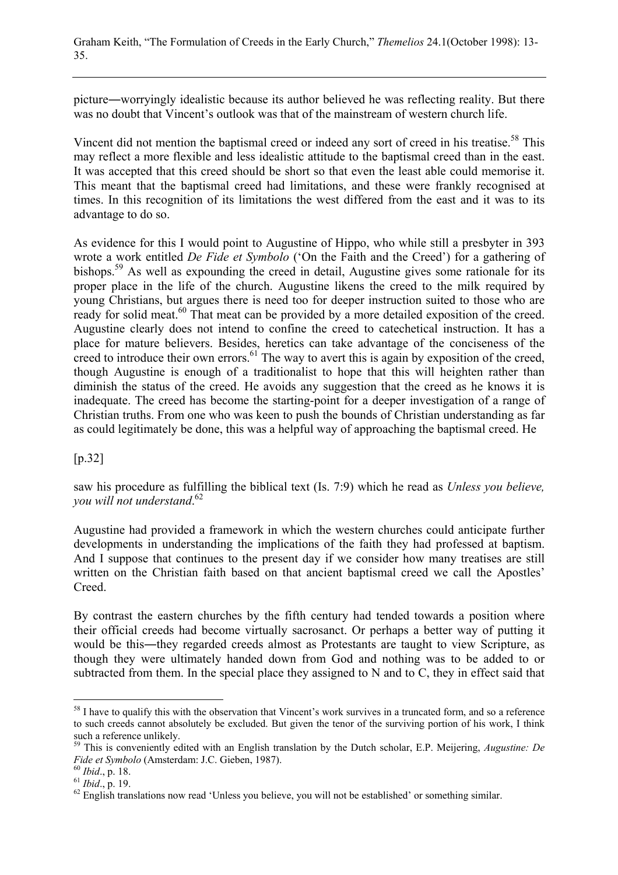picture―worryingly idealistic because its author believed he was reflecting reality. But there was no doubt that Vincent's outlook was that of the mainstream of western church life.

Vincent did not mention the baptismal creed or indeed any sort of creed in his treatise.<sup>58</sup> This may reflect a more flexible and less idealistic attitude to the baptismal creed than in the east. It was accepted that this creed should be short so that even the least able could memorise it. This meant that the baptismal creed had limitations, and these were frankly recognised at times. In this recognition of its limitations the west differed from the east and it was to its advantage to do so.

As evidence for this I would point to Augustine of Hippo, who while still a presbyter in 393 wrote a work entitled *De Fide et Symbolo* ('On the Faith and the Creed') for a gathering of bishops.<sup>59</sup> As well as expounding the creed in detail, Augustine gives some rationale for its proper place in the life of the church. Augustine likens the creed to the milk required by young Christians, but argues there is need too for deeper instruction suited to those who are ready for solid meat.<sup>60</sup> That meat can be provided by a more detailed exposition of the creed. Augustine clearly does not intend to confine the creed to catechetical instruction. It has a place for mature believers. Besides, heretics can take advantage of the conciseness of the creed to introduce their own errors.<sup>61</sup> The way to avert this is again by exposition of the creed, though Augustine is enough of a traditionalist to hope that this will heighten rather than diminish the status of the creed. He avoids any suggestion that the creed as he knows it is inadequate. The creed has become the starting-point for a deeper investigation of a range of Christian truths. From one who was keen to push the bounds of Christian understanding as far as could legitimately be done, this was a helpful way of approaching the baptismal creed. He

#### [p.32]

saw his procedure as fulfilling the biblical text (Is. 7:9) which he read as *Unless you believe, you will not understand*. 62

Augustine had provided a framework in which the western churches could anticipate further developments in understanding the implications of the faith they had professed at baptism. And I suppose that continues to the present day if we consider how many treatises are still written on the Christian faith based on that ancient baptismal creed we call the Apostles' Creed.

By contrast the eastern churches by the fifth century had tended towards a position where their official creeds had become virtually sacrosanct. Or perhaps a better way of putting it would be this―they regarded creeds almost as Protestants are taught to view Scripture, as though they were ultimately handed down from God and nothing was to be added to or subtracted from them. In the special place they assigned to N and to C, they in effect said that

<sup>&</sup>lt;sup>58</sup> I have to qualify this with the observation that Vincent's work survives in a truncated form, and so a reference to such creeds cannot absolutely be excluded. But given the tenor of the surviving portion of his work, I think such a reference unlikely.

<sup>59</sup> This is conveniently edited with an English translation by the Dutch scholar, E.P. Meijering, *Augustine: De*

<sup>&</sup>lt;sup>60</sup> *Ibid.*, p. 18. <sup>61</sup> *Ibid.*, p. 19. *Filipid*, p. 19. 61 *Ibid.*, p. 19. 62 English translations now read 'Unless you believe, you will not be established' or something similar.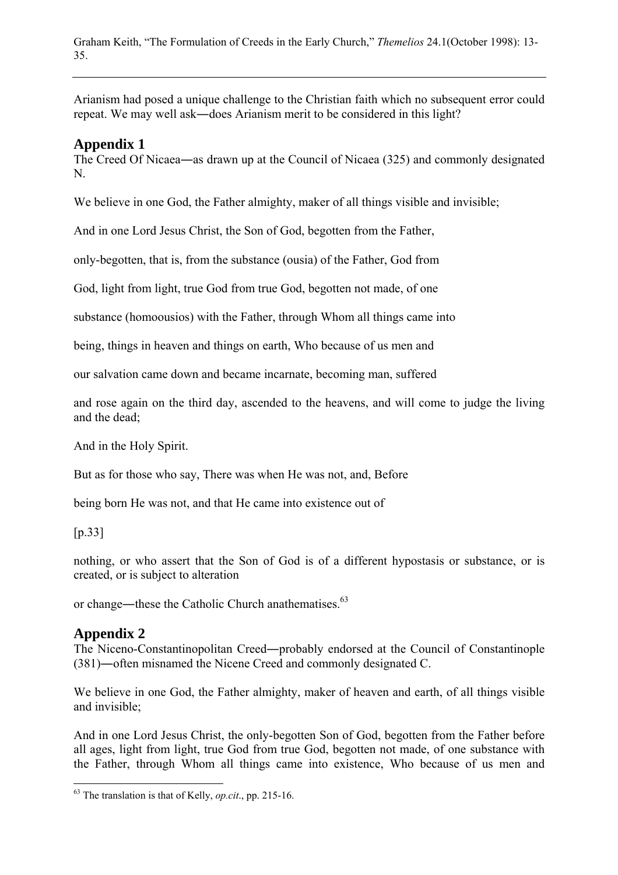Arianism had posed a unique challenge to the Christian faith which no subsequent error could repeat. We may well ask―does Arianism merit to be considered in this light?

# **Appendix 1**

The Creed Of Nicaea―as drawn up at the Council of Nicaea (325) and commonly designated N.

We believe in one God, the Father almighty, maker of all things visible and invisible;

And in one Lord Jesus Christ, the Son of God, begotten from the Father,

only-begotten, that is, from the substance (ousia) of the Father, God from

God, light from light, true God from true God, begotten not made, of one

substance (homoousios) with the Father, through Whom all things came into

being, things in heaven and things on earth, Who because of us men and

our salvation came down and became incarnate, becoming man, suffered

and rose again on the third day, ascended to the heavens, and will come to judge the living and the dead;

And in the Holy Spirit.

But as for those who say, There was when He was not, and, Before

being born He was not, and that He came into existence out of

[p.33]

 $\overline{a}$ 

nothing, or who assert that the Son of God is of a different hypostasis or substance, or is created, or is subject to alteration

or change—these the Catholic Church anathematises.<sup>63</sup>

# **Appendix 2**

The Niceno-Constantinopolitan Creed―probably endorsed at the Council of Constantinople (381)―often misnamed the Nicene Creed and commonly designated C.

We believe in one God, the Father almighty, maker of heaven and earth, of all things visible and invisible;

And in one Lord Jesus Christ, the only-begotten Son of God, begotten from the Father before all ages, light from light, true God from true God, begotten not made, of one substance with the Father, through Whom all things came into existence, Who because of us men and

<sup>63</sup> The translation is that of Kelly, *op.cit*., pp. 215-16.